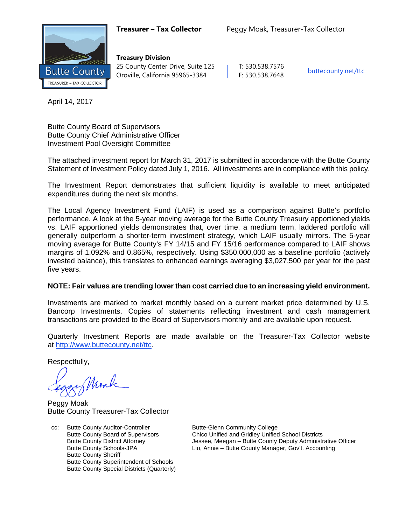

**Treasury Division** 25 County Center Drive, Suite 125 | T: 530.538.7576 Oroville, California 95965-3384 F: 530.538.7648 [buttecounty.net/t](http://www.buttecounty.net/administration)tc

April 14, 2017

Butte County Board of Supervisors Butte County Chief Administrative Officer Investment Pool Oversight Committee

The attached investment report for March 31, 2017 is submitted in accordance with the Butte County Statement of Investment Policy dated July 1, 2016. All investments are in compliance with this policy.

The Investment Report demonstrates that sufficient liquidity is available to meet anticipated expenditures during the next six months.

The Local Agency Investment Fund (LAIF) is used as a comparison against Butte's portfolio performance. A look at the 5-year moving average for the Butte County Treasury apportioned yields vs. LAIF apportioned yields demonstrates that, over time, a medium term, laddered portfolio will generally outperform a shorter-term investment strategy, which LAIF usually mirrors. The 5-year moving average for Butte County's FY 14/15 and FY 15/16 performance compared to LAIF shows margins of 1.092% and 0.865%, respectively. Using \$350,000,000 as a baseline portfolio (actively invested balance), this translates to enhanced earnings averaging \$3,027,500 per year for the past five years.

# **NOTE: Fair values are trending lower than cost carried due to an increasing yield environment.**

Investments are marked to market monthly based on a current market price determined by U.S. Bancorp Investments. Copies of statements reflecting investment and cash management transactions are provided to the Board of Supervisors monthly and are available upon request.

Quarterly Investment Reports are made available on the Treasurer-Tax Collector website at <http://www.buttecounty.net/ttc>.

Respectfully,

Monk

Peggy Moak Butte County Treasurer-Tax Collector

cc: Butte County Auditor-Controller Butte-Glenn Community College<br>Butte County Board of Supervisors Chico Unified and Gridley Unified Butte County Sheriff Butte County Superintendent of Schools Butte County Special Districts (Quarterly)

Chico Unified and Gridley Unified School Districts Butte County District Attorney **Jessee, Meegan – Butte County Deputy Administrative Officer**<br>Butte County Schools-JPA Liu, Annie – Butte County Manager, Gov't. Accounting Liu, Annie – Butte County Manager, Gov't. Accounting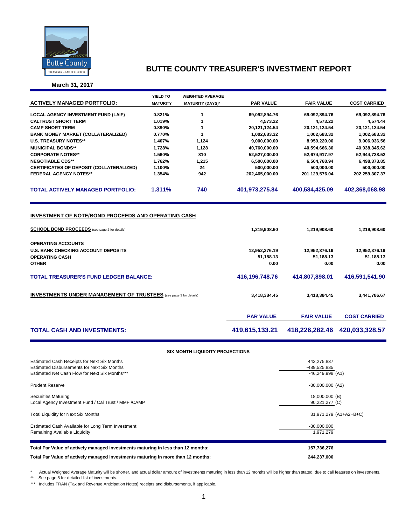

**March 31, 2017**

|                                                                                                                    | YIELD TO        | <b>WEIGHTED AVERAGE</b> |                  |                   |                     |
|--------------------------------------------------------------------------------------------------------------------|-----------------|-------------------------|------------------|-------------------|---------------------|
| <b>ACTIVELY MANAGED PORTFOLIO:</b>                                                                                 | <b>MATURITY</b> | <b>MATURITY (DAYS)*</b> | <b>PAR VALUE</b> | <b>FAIR VALUE</b> | <b>COST CARRIED</b> |
|                                                                                                                    |                 |                         |                  |                   |                     |
| <b>LOCAL AGENCY INVESTMENT FUND (LAIF)</b>                                                                         | 0.821%          | 1                       | 69,092,894.76    | 69,092,894.76     | 69,092,894.76       |
| <b>CALTRUST SHORT TERM</b>                                                                                         | 1.019%          | 1                       | 4,573.22         | 4,573.22          | 4,574.44            |
| <b>CAMP SHORT TERM</b>                                                                                             | 0.890%          | 1                       | 20,121,124.54    | 20,121,124.54     | 20,121,124.54       |
| <b>BANK MONEY MARKET (COLLATERALIZED)</b>                                                                          | 0.770%          | $\mathbf{1}$            | 1,002,683.32     | 1,002,683.32      | 1,002,683.32        |
| <b>U.S. TREASURY NOTES**</b>                                                                                       | 1.407%          | 1,124                   | 9,000,000.00     | 8,959,220.00      | 9,006,036.56        |
| <b>MUNICIPAL BONDS**</b>                                                                                           | 1.728%          | 1,128                   | 40,760,000.00    | 40,594,666.30     | 40,938,345.62       |
| <b>CORPORATE NOTES**</b>                                                                                           | 1.560%          | 810                     | 52,527,000.00    | 52,674,917.97     | 52,944,728.52       |
| <b>NEGOTIABLE CDS**</b>                                                                                            | 1.762%          | 1,215                   | 6,500,000.00     | 6,504,768.94      | 6,498,373.85        |
| CERTIFICATES OF DEPOSIT (COLLATERALIZED)                                                                           | 1.100%          | 24                      | 500,000.00       | 500,000.00        | 500,000.00          |
| <b>FEDERAL AGENCY NOTES**</b>                                                                                      | 1.354%          | 942                     | 202,465,000.00   | 201,129,576.04    | 202,259,307.37      |
| <b>TOTAL ACTIVELY MANAGED PORTFOLIO:</b>                                                                           | 1.311%          | 740                     | 401,973,275.84   | 400,584,425.09    | 402,368,068.98      |
| <b>INVESTMENT OF NOTE/BOND PROCEEDS AND OPERATING CASH</b><br><b>SCHOOL BOND PROCEEDS</b> (see page 2 for details) |                 |                         | 1,219,908.60     | 1,219,908.60      | 1,219,908.60        |
| <b>OPERATING ACCOUNTS</b>                                                                                          |                 |                         |                  |                   |                     |
| <b>U.S. BANK CHECKING ACCOUNT DEPOSITS</b>                                                                         |                 |                         | 12,952,376.19    | 12,952,376.19     | 12,952,376.19       |
| <b>OPERATING CASH</b>                                                                                              |                 |                         | 51,188.13        | 51,188.13         | 51,188.13           |
| <b>OTHER</b>                                                                                                       |                 |                         | 0.00             | 0.00              | 0.00                |
|                                                                                                                    |                 |                         |                  |                   |                     |
| <b>TOTAL TREASURER'S FUND LEDGER BALANCE:</b>                                                                      |                 |                         | 416,196,748.76   | 414,807,898.01    | 416,591,541.90      |
| <b>INVESTMENTS UNDER MANAGEMENT OF TRUSTEES</b> (see page 3 for details)                                           |                 | 3,418,384.45            | 3,418,384.45     | 3,441,786.67      |                     |
|                                                                                                                    |                 |                         | <b>PAR VALUE</b> | <b>FAIR VALUE</b> | <b>COST CARRIED</b> |
| <b>TOTAL CASH AND INVESTMENTS:</b>                                                                                 |                 |                         | 419,615,133.21   | 418,226,282.46    | 420,033,328.57      |
|                                                                                                                    |                 |                         |                  |                   |                     |

#### **SIX MONTH LIQUIDITY PROJECTIONS**

| Estimated Cash Receipts for Next Six Months<br><b>Estimated Disbursements for Next Six Months</b><br>Estimated Net Cash Flow for Next Six Months*** | 443,275,837<br>-489,525,835<br>$-46,249,998$ (A1) |
|-----------------------------------------------------------------------------------------------------------------------------------------------------|---------------------------------------------------|
| <b>Prudent Reserve</b>                                                                                                                              | $-30,000,000$ (A2)                                |
| Securities Maturing<br>Local Agency Investment Fund / Cal Trust / MMF / CAMP                                                                        | 18,000,000 (B)<br>90,221,277 (C)                  |
| <b>Total Liquidity for Next Six Months</b>                                                                                                          | 31,971,279 (A1+A2+B+C)                            |
| Estimated Cash Available for Long Term Investment<br>Remaining Available Liquidity                                                                  | $-30,000,000$<br>1.971.279                        |
| Total Par Value of actively managed investments maturing in less than 12 months:                                                                    | 157,736,276                                       |
| Total Par Value of actively managed investments maturing in more than 12 months:                                                                    | 244,237,000                                       |

\* Actual Weighted Average Maturity will be shorter, and actual dollar amount of investments maturing in less than 12 months will be higher than stated, due to call features on investments.

\*\* See page 5 for detailed list of investments.

\*\*\* Includes TRAN (Tax and Revenue Anticipation Notes) receipts and disbursements, if applicable.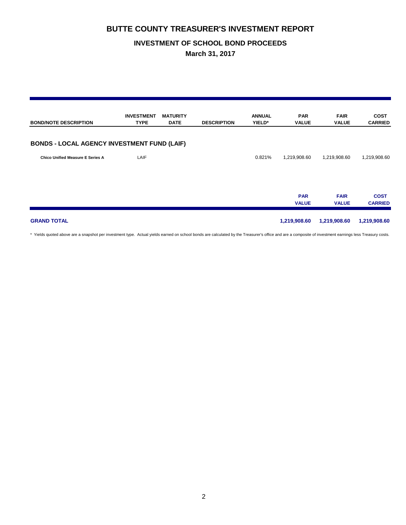## **INVESTMENT OF SCHOOL BOND PROCEEDS**

**March 31, 2017**

| <b>BOND/NOTE DESCRIPTION</b>                       | <b>INVESTMENT</b><br><b>TYPE</b> | <b>MATURITY</b><br><b>DATE</b> | <b>DESCRIPTION</b> | <b>ANNUAL</b><br>YIELD* | <b>PAR</b><br><b>VALUE</b> | <b>FAIR</b><br><b>VALUE</b> | <b>COST</b><br><b>CARRIED</b> |
|----------------------------------------------------|----------------------------------|--------------------------------|--------------------|-------------------------|----------------------------|-----------------------------|-------------------------------|
| <b>BONDS - LOCAL AGENCY INVESTMENT FUND (LAIF)</b> |                                  |                                |                    |                         |                            |                             |                               |
| <b>Chico Unified Measure E Series A</b>            | LAIF                             |                                |                    | 0.821%                  | 1,219,908.60               | 1,219,908.60                | 1,219,908.60                  |
|                                                    |                                  |                                |                    |                         | <b>PAR</b><br><b>VALUE</b> | <b>FAIR</b><br><b>VALUE</b> | <b>COST</b><br><b>CARRIED</b> |
| <b>GRAND TOTAL</b>                                 |                                  |                                |                    |                         | 1,219,908.60               | 1,219,908.60                | 1,219,908.60                  |

\* Yields quoted above are a snapshot per investment type. Actual yields earned on school bonds are calculated by the Treasurer's office and are a composite of investment earnings less Treasury costs.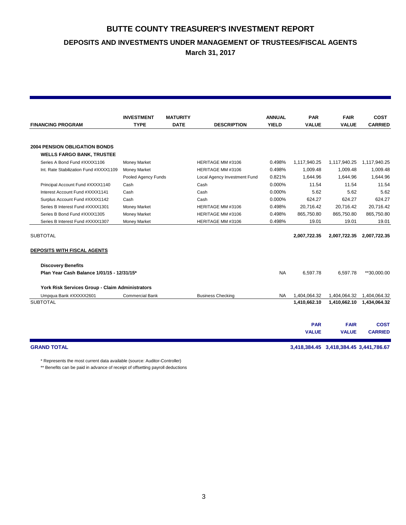**DEPOSITS AND INVESTMENTS UNDER MANAGEMENT OF TRUSTEES/FISCAL AGENTS**

**March 31, 2017**

|                                                 | <b>INVESTMENT</b>      | <b>MATURITY</b> |                              | <b>ANNUAL</b> | <b>PAR</b>   | <b>FAIR</b>  | <b>COST</b>    |  |
|-------------------------------------------------|------------------------|-----------------|------------------------------|---------------|--------------|--------------|----------------|--|
| <b>FINANCING PROGRAM</b>                        | <b>TYPE</b>            | <b>DATE</b>     | <b>DESCRIPTION</b>           | <b>YIELD</b>  | <b>VALUE</b> | <b>VALUE</b> | <b>CARRIED</b> |  |
| <b>2004 PENSION OBLIGATION BONDS</b>            |                        |                 |                              |               |              |              |                |  |
| <b>WELLS FARGO BANK, TRUSTEE</b>                |                        |                 |                              |               |              |              |                |  |
| Series A Bond Fund #XXXX1106                    | <b>Money Market</b>    |                 | HERITAGE MM #3106            | 0.498%        | 1,117,940.25 | 1,117,940.25 | 1,117,940.25   |  |
| Int. Rate Stabilization Fund #XXXX1109          | <b>Money Market</b>    |                 | HERITAGE MM #3106            | 0.498%        | 1.009.48     | 1,009.48     | 1,009.48       |  |
|                                                 | Pooled Agency Funds    |                 | Local Agency Investment Fund | 0.821%        | 1,644.96     | 1,644.96     | 1,644.96       |  |
| Principal Account Fund #XXXX1140                | Cash                   |                 | Cash                         | 0.000%        | 11.54        | 11.54        | 11.54          |  |
| Interest Account Fund #XXXX1141                 | Cash                   |                 | Cash                         | 0.000%        | 5.62         | 5.62         | 5.62           |  |
| Surplus Account Fund #XXXX1142                  | Cash                   |                 | Cash                         | 0.000%        | 624.27       | 624.27       | 624.27         |  |
| Series B Interest Fund #XXXX1301                | <b>Money Market</b>    |                 | HERITAGE MM #3106            | 0.498%        | 20.716.42    | 20,716.42    | 20.716.42      |  |
| Series B Bond Fund #XXXX1305                    | <b>Money Market</b>    |                 | HERITAGE MM #3106            | 0.498%        | 865,750.80   | 865,750.80   | 865,750.80     |  |
| Series B Interest Fund #XXXX1307                | <b>Money Market</b>    |                 | HERITAGE MM #3106            | 0.498%        | 19.01        | 19.01        | 19.01          |  |
| <b>SUBTOTAL</b>                                 |                        |                 |                              |               | 2,007,722.35 | 2,007,722.35 | 2,007,722.35   |  |
| <b>DEPOSITS WITH FISCAL AGENTS</b>              |                        |                 |                              |               |              |              |                |  |
| <b>Discovery Benefits</b>                       |                        |                 |                              |               |              |              |                |  |
| Plan Year Cash Balance 1/01/15 - 12/31/15*      |                        |                 |                              | <b>NA</b>     | 6,597.78     | 6,597.78     | **30,000.00    |  |
| York Risk Services Group - Claim Administrators |                        |                 |                              |               |              |              |                |  |
| Umpqua Bank #XXXXX2601                          | <b>Commercial Bank</b> |                 | <b>Business Checking</b>     | NA            | 1,404,064.32 | 1,404,064.32 | 1,404,064.32   |  |
| <b>SUBTOTAL</b>                                 |                        |                 |                              |               | 1,410,662.10 | 1,410,662.10 | 1,434,064.32   |  |
|                                                 |                        |                 |                              |               |              |              |                |  |
|                                                 |                        |                 |                              |               | <b>PAR</b>   | <b>FAIR</b>  | <b>COST</b>    |  |
|                                                 |                        |                 |                              |               | <b>VALUE</b> | <b>VALUE</b> | <b>CARRIED</b> |  |
|                                                 |                        |                 |                              |               |              |              |                |  |

\* Represents the most current data available (source: Auditor-Controller)

\*\* Benefits can be paid in advance of receipt of offsetting payroll deductions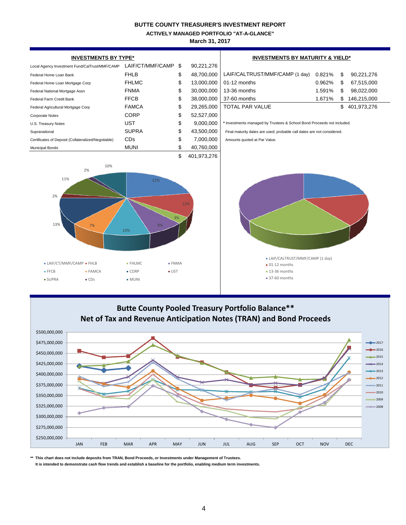**ACTIVELY MANAGED PORTFOLIO "AT-A-GLANCE"**

**March 31, 2017**

| <b>INVESTMENTS BY TYPE*</b>                                                                                                                    | <b>INVESTMENTS BY MATURITY &amp; YIELD*</b> |           |             |                                                                        |        |    |             |  |  |
|------------------------------------------------------------------------------------------------------------------------------------------------|---------------------------------------------|-----------|-------------|------------------------------------------------------------------------|--------|----|-------------|--|--|
| Local Agency Investment Fund/CalTrust/MMF/CAMP                                                                                                 | LAIF/CT/MMF/CAMP                            | \$        | 90,221,276  |                                                                        |        |    |             |  |  |
| Federal Home Loan Bank                                                                                                                         | <b>FHLB</b>                                 | \$        | 48,700,000  | LAIF/CALTRUST/MMF/CAMP (1 day)                                         | 0.821% | \$ | 90,221,276  |  |  |
| Federal Home Loan Mortgage Corp                                                                                                                | <b>FHLMC</b>                                | \$        | 13,000,000  | 01-12 months                                                           | 0.962% | \$ | 67,515,000  |  |  |
| Federal National Mortgage Assn                                                                                                                 | <b>FNMA</b>                                 | \$        | 30,000,000  | 13-36 months                                                           | 1.591% | \$ | 98,022,000  |  |  |
| Federal Farm Credit Bank                                                                                                                       | <b>FFCB</b>                                 | \$        | 38,000,000  | 37-60 months                                                           | 1.671% | \$ | 146,215,000 |  |  |
| Federal Agricultural Mortgage Corp                                                                                                             | <b>FAMCA</b>                                | \$        | 29,265,000  | <b>TOTAL PAR VALUE</b>                                                 |        | \$ | 401,973,276 |  |  |
| Corporate Notes                                                                                                                                | <b>CORP</b>                                 | \$        | 52,527,000  |                                                                        |        |    |             |  |  |
| U.S. Treasury Notes                                                                                                                            | <b>UST</b>                                  | \$        | 9,000,000   | * Investments managed by Trustees & School Bond Proceeds not included. |        |    |             |  |  |
| Supranational                                                                                                                                  | <b>SUPRA</b>                                | \$        | 43,500,000  | Final maturity dates are used; probable call dates are not considered. |        |    |             |  |  |
| Certificates of Deposit (Collateralized/Negotiable)                                                                                            | <b>CDs</b>                                  | \$        | 7,000,000   | Amounts quoted at Par Value.                                           |        |    |             |  |  |
| <b>Municipal Bonds</b>                                                                                                                         | <b>MUNI</b>                                 | \$        | 40,760,000  |                                                                        |        |    |             |  |  |
|                                                                                                                                                |                                             | \$        | 401,973,276 |                                                                        |        |    |             |  |  |
| 10%<br>2%<br>11%                                                                                                                               | 22%                                         |           |             |                                                                        |        |    |             |  |  |
| 2%<br>13%<br>7%<br>LAIF/CT/MMF/CAMP - FHLB                                                                                                     | 8%<br>10%<br><b>ENMA</b><br>$=$ FHLMC       | 12%<br>3% |             | · LAIF/CALTRUST/MMF/CAMP (1 day)                                       |        |    |             |  |  |
| $- FAMCA$<br>FFCB                                                                                                                              | ■ CORP<br><b>UST</b>                        |           |             | $\blacksquare$ 01-12 months<br>$-13-36$ months                         |        |    |             |  |  |
| $\blacksquare$ CDs<br><b>SUPRA</b>                                                                                                             | $-MUNI$                                     |           |             | 37-60 months                                                           |        |    |             |  |  |
|                                                                                                                                                |                                             |           |             |                                                                        |        |    |             |  |  |
| <b>Butte County Pooled Treasury Portfolio Balance**</b><br>Net of Tax and Revenue Anticipation Notes (TRAN) and Bond Proceeds<br>\$500,000,000 |                                             |           |             |                                                                        |        |    |             |  |  |



**\*\* This chart does not include deposits from TRAN, Bond Proceeds, or Investments under Management of Trustees.**

 **It is intended to demonstrate cash flow trends and establish a baseline for the portfolio, enabling medium term investments.**